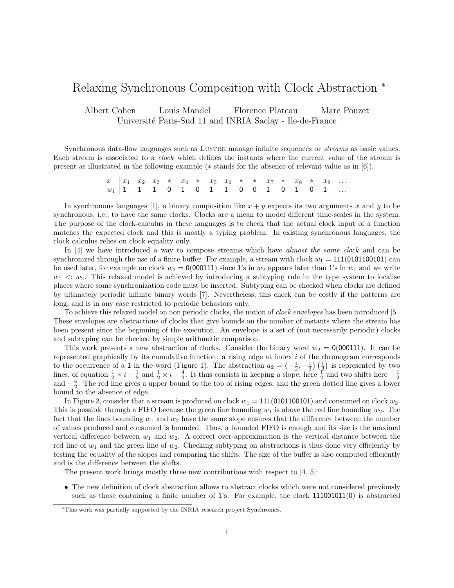#### Relaxing Synchronous Composition with Clock Abstraction <sup>∗</sup>

Albert Cohen Louis Mandel Florence Plateau Marc Pouzet Université Paris-Sud 11 and INRIA Saclay - Ile-de-France

Synchronous data-flow languages such as LUSTRE manage infinite sequences or *streams* as basic values. Each stream is associated to a clock which defines the instants where the current value of the stream is present as illustrated in the following example (∗ stands for the absence of relevant value as in [6]).

> $x \begin{array}{|l|ccccccccccc|}\nx & x_1 & x_2 & x_3 & * & x_4 & * & x_5 & x_6 & * & * & x_7 & * & x_8 & * & x_9 & \dots \end{array}$  $w_1$  | 1 1 1 0 1 0 1 1 0 0 1 0 1 0 1  $\dots$

In synchronous languages [1], a binary composition like  $x + y$  expects its two arguments x and y to be synchronous, i.e., to have the same clocks. Clocks are a mean to model different time-scales in the system. The purpose of the clock-calculus in these languages is to check that the actual clock input of a function matches the expected clock and this is mostly a typing problem. In existing synchronous languages, the clock calculus relies on clock equality only.

In [4] we have introduced a way to compose streams which have almost the same clock and can be synchronized through the use of a finite buffer. For example, a stream with clock  $w_1 = 111(0101100101)$  can be used later, for example on clock  $w_2 = 0(000111)$  since 1's in  $w_2$  appears later than 1's in  $w_1$  and we write  $w_1 \ll w_2$ . This relaxed model is achieved by introducing a subtyping rule in the type system to localise places where some synchronization code must be inserted. Subtyping can be checked when clocks are defined by ultimately periodic infinite binary words [7]. Nevertheless, this check can be costly if the patterns are long, and is in any case restricted to periodic behaviors only.

To achieve this relaxed model on non periodic clocks, the notion of clock envelopes has been introduced [5]. These envelopes are abstractions of clocks that give bounds on the number of instants where the stream has been present since the beginning of the execution. An envelope is a set of (not necessarily periodic) clocks and subtyping can be checked by simple arithmetic comparison.

This work presents a new abstraction of clocks. Consider the binary word  $w_2 = 0(000111)$ . It can be represented graphically by its cumulative function: a rising edge at index i of the chronogram corresponds to the occurrence of a 1 in the word (Figure 1). The abstraction  $a_2 = \langle -\frac{4}{2}, -\frac{1}{2} \rangle \left( \frac{1}{2} \right)$  is represented by two lines, of equation  $\frac{1}{2} \times i - \frac{1}{2}$  and  $\frac{1}{2} \times i - \frac{4}{2}$ . It thus consists in keeping a slope, here  $\frac{1}{2}$  and two shifts here  $-\frac{1}{2}$ and  $-\frac{4}{2}$ . The red line gives a upper bound to the top of rising edges, and the green dotted line gives a lower bound to the absence of edge.

In Figure 2, consider that a stream is produced on clock  $w_1 = 111(0101100101)$  and consumed on clock  $w_2$ . This is possible through a FIFO because the green line bounding  $w_1$  is above the red line bounding  $w_2$ . The fact that the lines bounding  $w_1$  and  $w_2$  have the same slope ensures that the difference between the number of values produced and consumed is bounded. Thus, a bounded FIFO is enough and its size is the maximal vertical difference between  $w_1$  and  $w_2$ . A correct over-approximation is the vertical distance between the red line of  $w_1$  and the green line of  $w_2$ . Checking subtyping on abstractions is thus done very efficiently by testing the equality of the slopes and comparing the shifts. The size of the buffer is also computed efficiently and is the difference between the shifts.

The present work brings mostly three new contributions with respect to [4, 5]:

• The new definition of clock abstraction allows to abstract clocks which were not considered previously such as those containing a finite number of 1's. For example, the clock 111001011(0) is abstracted

<sup>∗</sup>This work was partially supported by the INRIA research project Synchronics.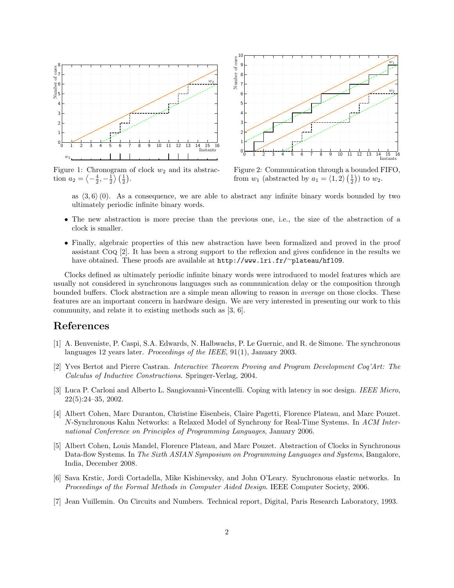

Figure 1: Chronogram of clock  $w_2$  and its abstraction  $a_2 = \left\langle -\frac{4}{2}, -\frac{1}{2} \right\rangle \left( \frac{1}{2} \right)$ .



Figure 2: Communication through a bounded FIFO, from  $w_1$  (abstracted by  $a_1 = \langle 1, 2 \rangle \left(\frac{1}{2}\right)$ ) to  $w_2$ .

as  $\langle 3, 6 \rangle$  (0). As a consequence, we are able to abstract any infinite binary words bounded by two ultimately periodic infinite binary words.

- The new abstraction is more precise than the previous one, i.e., the size of the abstraction of a clock is smaller.
- Finally, algebraic properties of this new abstraction have been formalized and proved in the proof assistant Coq [2]. It has been a strong support to the reflexion and gives confidence in the results we have obtained. These proofs are available at http://www.lri.fr/<sup>∼</sup>plateau/hfl09.

Clocks defined as ultimately periodic infinite binary words were introduced to model features which are usually not considered in synchronous languages such as communication delay or the composition through bounded buffers. Clock abstraction are a simple mean allowing to reason in average on those clocks. These features are an important concern in hardware design. We are very interested in presenting our work to this community, and relate it to existing methods such as [3, 6].

#### References

- [1] A. Benveniste, P. Caspi, S.A. Edwards, N. Halbwachs, P. Le Guernic, and R. de Simone. The synchronous languages 12 years later. *Proceedings of the IEEE*, 91(1), January 2003.
- [2] Yves Bertot and Pierre Castran. Interactive Theorem Proving and Program Development Coq'Art: The Calculus of Inductive Constructions. Springer-Verlag, 2004.
- [3] Luca P. Carloni and Alberto L. Sangiovanni-Vincentelli. Coping with latency in soc design. IEEE Micro, 22(5):24–35, 2002.
- [4] Albert Cohen, Marc Duranton, Christine Eisenbeis, Claire Pagetti, Florence Plateau, and Marc Pouzet. N-Synchronous Kahn Networks: a Relaxed Model of Synchrony for Real-Time Systems. In ACM International Conference on Principles of Programming Languages, January 2006.
- [5] Albert Cohen, Louis Mandel, Florence Plateau, and Marc Pouzet. Abstraction of Clocks in Synchronous Data-flow Systems. In The Sixth ASIAN Symposium on Programming Languages and Systems, Bangalore, India, December 2008.
- [6] Sava Krstic, Jordi Cortadella, Mike Kishinevsky, and John O'Leary. Synchronous elastic networks. In Proceedings of the Formal Methods in Computer Aided Design. IEEE Computer Society, 2006.
- [7] Jean Vuillemin. On Circuits and Numbers. Technical report, Digital, Paris Research Laboratory, 1993.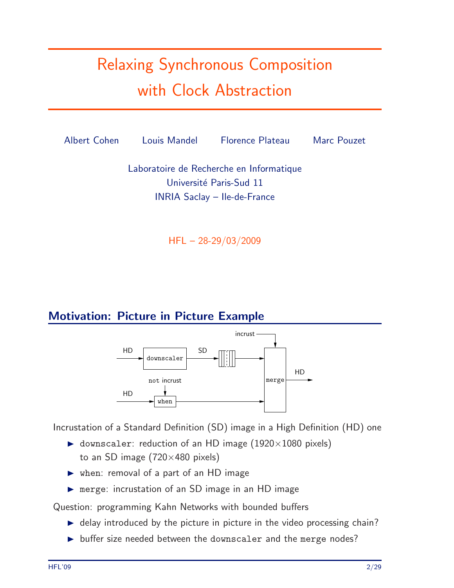# Relaxing Synchronous Composition with Clock Abstraction



HFL – 28-29/03/2009

### Motivation: Picture in Picture Example



Incrustation of a Standard Definition (SD) image in a High Definition (HD) one

- $\triangleright$  downscaler: reduction of an HD image (1920×1080 pixels) to an SD image  $(720\times480)$  pixels)
- when: removal of a part of an HD image
- merge: incrustation of an SD image in an HD image

Question: programming Kahn Networks with bounded buffers

- $\blacktriangleright$  delay introduced by the picture in picture in the video processing chain?
- $\triangleright$  buffer size needed between the downscaler and the merge nodes?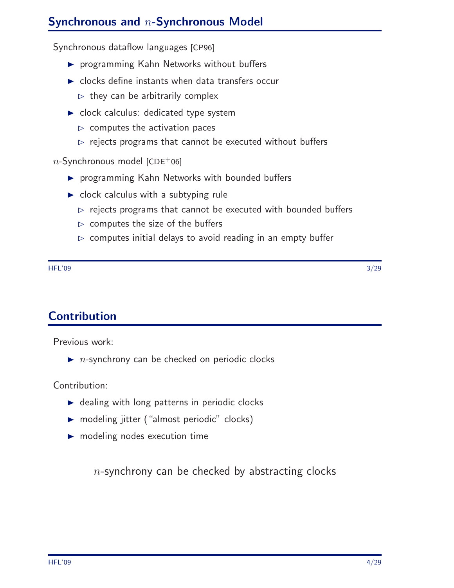### Synchronous and n-Synchronous Model

Synchronous dataflow languages [CP96]

- **P** programming Kahn Networks without buffers
- $\triangleright$  clocks define instants when data transfers occur
	- $\triangleright$  they can be arbitrarily complex
- clock calculus: dedicated type system
	- $\triangleright$  computes the activation paces
	- $\rhd$  rejects programs that cannot be executed without buffers

 $n$ -Synchronous model [CDE+06]

- **P** programming Kahn Networks with bounded buffers
- $\triangleright$  clock calculus with a subtyping rule
	- $\triangleright$  rejects programs that cannot be executed with bounded buffers
	- $\triangleright$  computes the size of the buffers
	- $\triangleright$  computes initial delays to avoid reading in an empty buffer

 $HFL'09$  . The set of the set of the set of the set of the set of the set of the set of the set of the set of the set of the set of the set of the set of the set of the set of the set of the set of the set of the set of th

**Contribution** 

Previous work:

 $\blacktriangleright$  *n*-synchrony can be checked on periodic clocks

Contribution:

- $\triangleright$  dealing with long patterns in periodic clocks
- ▶ modeling jitter ("almost periodic" clocks)
- modeling nodes execution time

 $n$ -synchrony can be checked by abstracting clocks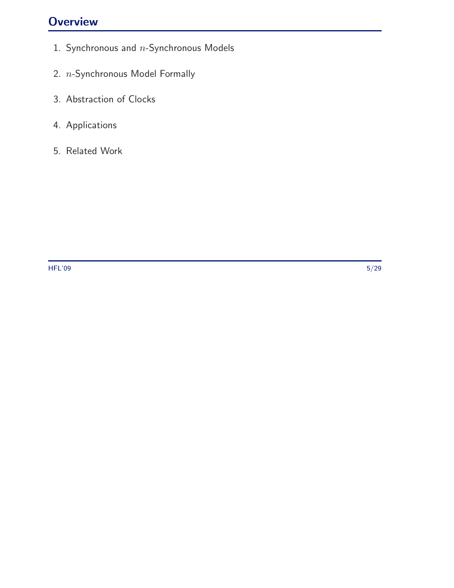### **Overview**

- 1. Synchronous and  $n$ -Synchronous Models
- 2. n-Synchronous Model Formally
- 3. Abstraction of Clocks
- 4. Applications
- 5. Related Work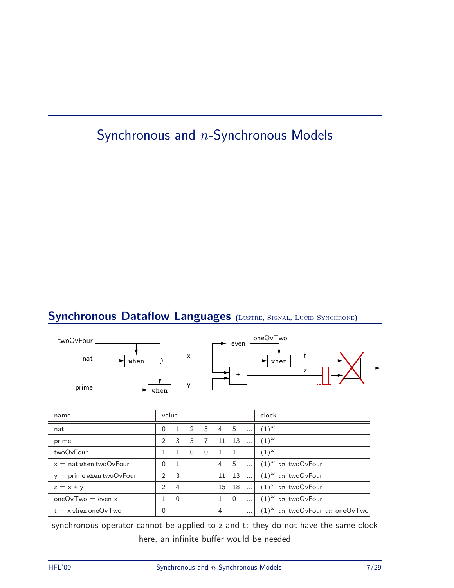# Synchronous and n-Synchronous Models

### Synchronous Dataflow Languages (LUSTRE, SIGNAL, LUCID SYNCHRONE)



synchronous operator cannot be applied to z and t: they do not have the same clock here, an infinite buffer would be needed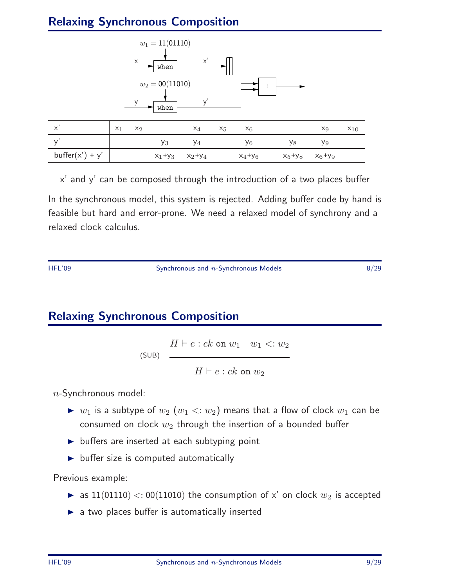### Relaxing Synchronous Composition



x' and y' can be composed through the introduction of a two places buffer In the synchronous model, this system is rejected. Adding buffer code by hand is feasible but hard and error-prone. We need a relaxed model of synchrony and a relaxed clock calculus.

HFL'09 Synchronous and n-Synchronous Models 8/29

### Relaxing Synchronous Composition

 $H \vdash e : ck$  on  $w_1 \quad w_1 \leq w_2$ (SUB)  $H \vdash e : ck$  on  $w_2$ 

 $n$ -Synchronous model:

- $\triangleright$   $w_1$  is a subtype of  $w_2$   $(w_1 \lt: w_2)$  means that a flow of clock  $w_1$  can be consumed on clock  $w_2$  through the insertion of a bounded buffer
- $\triangleright$  buffers are inserted at each subtyping point
- $\blacktriangleright$  buffer size is computed automatically

Previous example:

- as  $11(01110) < 00(11010)$  the consumption of x' on clock  $w_2$  is accepted
- $\blacktriangleright$  a two places buffer is automatically inserted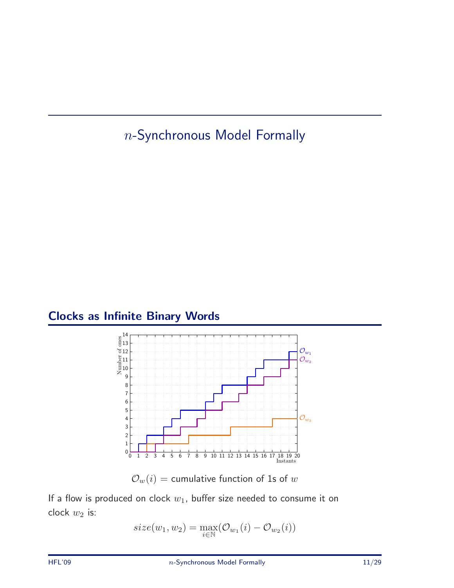n-Synchronous Model Formally

### Clocks as Infinite Binary Words



 $\mathcal{O}_w(i)$  = cumulative function of 1s of w

If a flow is produced on clock  $w_1$ , buffer size needed to consume it on clock  $w_2$  is:

$$
size(w_1, w_2) = \max_{i \in \mathbb{N}} (\mathcal{O}_{w_1}(i) - \mathcal{O}_{w_2}(i))
$$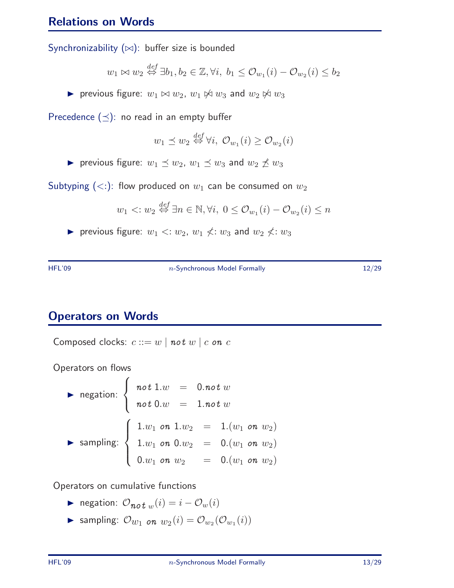#### Relations on Words

Synchronizability (∞): buffer size is bounded

$$
w_1 \bowtie w_2 \stackrel{def}{\Leftrightarrow} \exists b_1, b_2 \in \mathbb{Z}, \forall i, b_1 \leq \mathcal{O}_{w_1}(i) - \mathcal{O}_{w_2}(i) \leq b_2
$$

**►** previous figure:  $w_1 \Join w_2$ ,  $w_1 \Join w_3$  and  $w_2 \Join w_3$ 

Precedence  $(\preceq)$ : no read in an empty buffer

$$
w_1 \preceq w_2 \stackrel{def}{\leftrightarrow} \forall i, \ \mathcal{O}_{w_1}(i) \geq \mathcal{O}_{w_2}(i)
$$

▶ previous figure:  $w_1 \preceq w_2$ ,  $w_1 \preceq w_3$  and  $w_2 \npreceq w_3$ 

Subtyping  $(<:):$  flow produced on  $w_1$  can be consumed on  $w_2$ 

$$
w_1 \langle w_2 \stackrel{\text{def}}{\Leftrightarrow} \exists n \in \mathbb{N}, \forall i, \ 0 \le \mathcal{O}_{w_1}(i) - \mathcal{O}_{w_2}(i) \le n
$$

previous figure:  $w_1 \le w_2$ ,  $w_1 \nless w_3$  and  $w_2 \nless w_3$ 

HFL'09 **n-Synchronous Model Formally** 12/29 **12/29** 

### Operators on Words

Composed clocks:  $c ::= w \mid not \ w \mid c \text{ on } c$ 

Operators on flows

$$
\begin{array}{lll}\n\text{negation:} & \left\{ \begin{array}{rcl} \text{not } 1.w & = & 0.\text{not } w \\
\text{not } 0.w & = & 1.\text{not } w \\
\end{array} \right. \\
\text{sampling:} & \left\{ \begin{array}{rcl} 1.w_1 & \text{on } 1.w_2 & = & 1.(w_1 \text{ on } w_2) \\
1.w_1 & \text{on } 0.w_2 & = & 0.(w_1 \text{ on } w_2) \\
0.w_1 & \text{on } w_2 & = & 0.(w_1 \text{ on } w_2)\n\end{array} \right. \\
\end{array}
$$

Operators on cumulative functions

- ► negation:  $O_{\boldsymbol{not}} w(i) = i O_w(i)$
- Sampling:  $\mathcal{O}_{w_1}$  on  $w_2(i) = \mathcal{O}_{w_2}(\mathcal{O}_{w_1}(i))$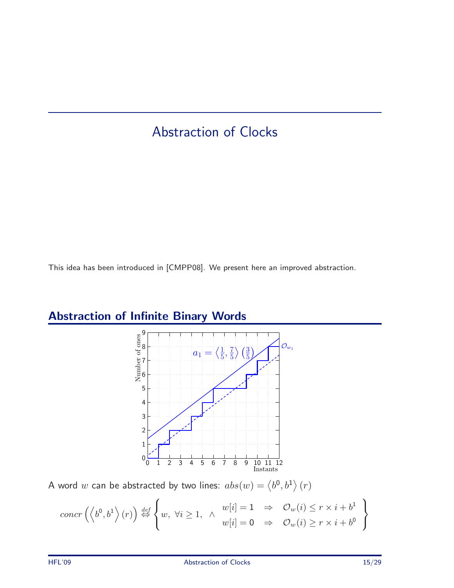### Abstraction of Clocks

This idea has been introduced in [CMPP08]. We present here an improved abstraction.

# Abstraction of Infinite Binary Words



A word  $w$  can be abstracted by two lines:  $abs(w) = \left\langle b^{0}, b^{1} \right\rangle (r)$ 

$$
concr\left(\left\langle b^{0},b^{1}\right\rangle(r)\right)\stackrel{def}{\Leftrightarrow}\left\{w,\ \forall i\geq 1,\ \wedge\begin{array}{c}w[i]=1\Rightarrow&\mathcal{O}_{w}(i)\leq r\times i+b^{1}\\w[i]=0\Rightarrow&\mathcal{O}_{w}(i)\geq r\times i+b^{0}\end{array}\right\}
$$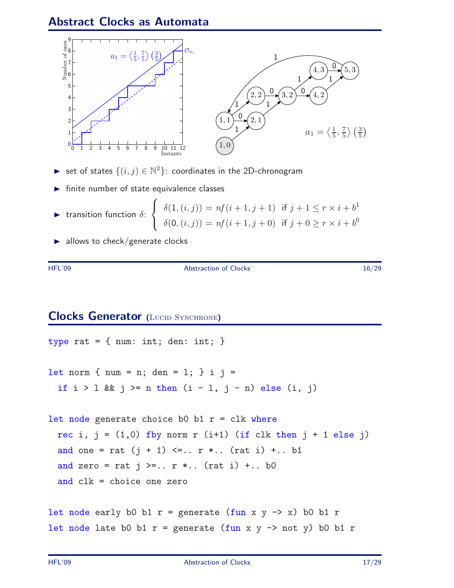### Abstract Clocks as Automata



- ► set of states  $\{(i, j) \in \mathbb{N}^2\}$ : coordinates in the 2D-chronogram
- $\blacktriangleright$  finite number of state equivalence classes

$$
\blacktriangleright \text{ transition function } \delta \colon \begin{cases} \delta(1,(i,j)) = nf(i+1,j+1) & \text{if } j+1 \le r \times i+b^1 \\ \delta(0,(i,j)) = nf(i+1,j+0) & \text{if } j+0 \ge r \times i+b^0 \end{cases}
$$

 $\blacktriangleright$  allows to check/generate clocks

HFL'09 Abstraction of Clocks 16/29

#### **Clocks Generator (LUCID SYNCHRONE)**

```
type rat = { num: int; den: int; }
let norm { num = n; den = 1; } i j =
 if i > 1 && j \ge n then (i - 1, j - n) else (i, j)let node generate choice b0 b1 r = clk where
  rec i, j = (1,0) fby norm r (i+1) (if clk then j + 1 else j)
  and one = rat (j + 1) \leq... r *... (rat i) +... b1
  and zero = rat j \geq n. r *.. (rat i) +.. b0
  and clk = choice one zero
let node early b0 b1 r = generate (fun x y -> x) b0 b1 r =let node late b0 b1 r = generate (fun x y \rightarrow not y) b0 b1 r
```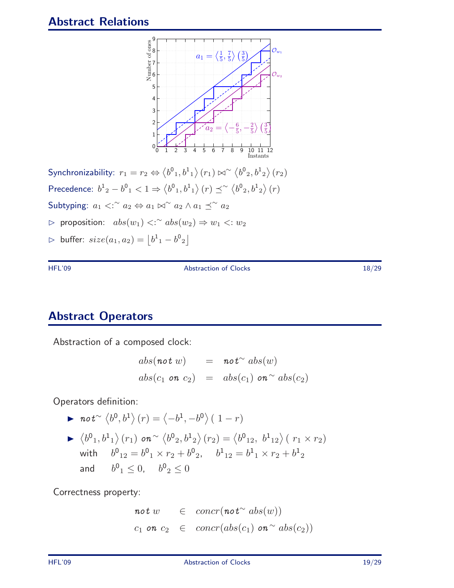

Synchronizability:  $r_1 = r_2 \Leftrightarrow \langle b^0_1, b^1_1 \rangle (r_1) \bowtie \sim \langle b^0_2, b^1_2 \rangle (r_2)$ Precedence:  $b^1{}_2 - b^0{}_1 < 1 \Rightarrow \langle b^0{}_1, b^1{}_1 \rangle (r) \preceq^{\sim} \langle b^0{}_2, b^1{}_2 \rangle (r)$ Subtyping:  $a_1 <^{\sim} a_2 \Leftrightarrow a_1 \bowtie^{\sim} a_2 \wedge a_1 \preceq^{\sim} a_2$  $\rhd$  proposition:  $abs(w_1)$  <:  $~^{\sim}abs(w_2)$  ⇒  $w_1$  <:  $w_2$  $\triangleright$  buffer:  $size(a_1, a_2) = |b^1{}_1 - b^0{}_2|$ 

HFL'09 Abstraction of Clocks 18/29

### Abstract Operators

Abstraction of a composed clock:

$$
abs(\text{not } w) = \text{not}^{\sim} abs(w)
$$
  

$$
abs(c_1 \text{ on } c_2) = abs(c_1) \text{ on }^{\sim} abs(c_2)
$$

Operators definition:

▶ 
$$
not^{\sim} \langle b^0, b^1 \rangle (r) = \langle -b^1, -b^0 \rangle (1 - r)
$$
  
\n▶  $\langle b^0_1, b^1_1 \rangle (r_1)$   $on^{\sim} \langle b^0_2, b^1_2 \rangle (r_2) = \langle b^0_{12}, b^1_{12} \rangle (r_1 \times r_2)$   
\nwith  $b^0_{12} = b^0_1 \times r_2 + b^0_2$ ,  $b^1_{12} = b^1_1 \times r_2 + b^1_2$   
\nand  $b^0_1 \le 0$ ,  $b^0_2 \le 0$ 

Correctness property:

$$
not w \in concr(not^\sim abs(w))
$$
  

$$
c_1 on c_2 \in concr(abs(c_1) on^\sim abs(c_2))
$$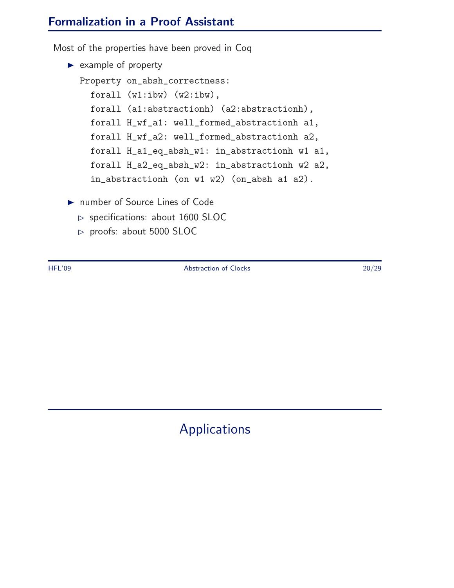### Formalization in a Proof Assistant

Most of the properties have been proved in Coq

```
\blacktriangleright example of property
  Property on_absh_correctness:
    forall (w1:ibw) (w2:ibw),
    forall (a1:abstractionh) (a2:abstractionh),
    forall H_wf_a1: well_formed_abstractionh a1,
    forall H_wf_a2: well_formed_abstractionh a2,
    forall H_a1_eq_absh_w1: in_abstractionh w1 a1,
    forall H_a2_eq_absh_w2: in_abstractionh w2 a2,
    in_abstractionh (on w1 w2) (on_absh a1 a2).
```
- ▶ number of Source Lines of Code
	- $\triangleright$  specifications: about 1600 SLOC
	- $\triangleright$  proofs: about 5000 SLOC

HFL'09 Abstraction of Clocks 20/29

# Applications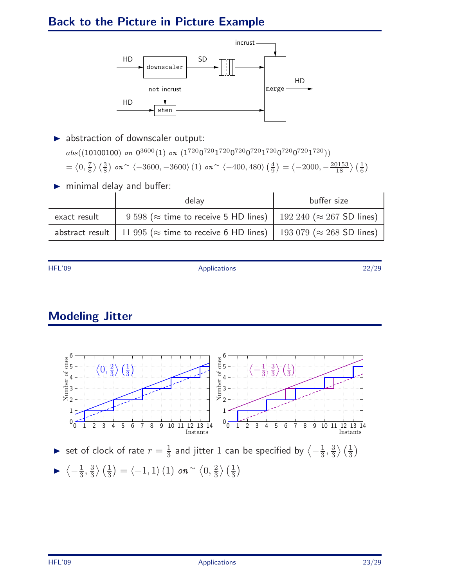### Back to the Picture in Picture Example



- $\blacktriangleright$  abstraction of downscaler output:  $abs((10100100)$  on  $0^{3600}(1)$  on  $(1^{720}0^{720}1^{720}0^{720}1^{720}0^{720}0^{720}1^{720}))$  $=\langle 0, \frac{7}{8} \rangle$  $\frac{7}{8}$   $\left(\frac{3}{8}\right)$  on  $\sim \langle -3600, -3600\rangle$  (1) on  $\sim \langle -400, 480\rangle$   $\left(\frac{4}{9}\right)$  $\left(\frac{4}{9}\right) = \left\langle -2000, -\frac{20153}{18} \right\rangle \left(\frac{1}{6}\right)$
- minimal delay and buffer:

|              | delay                                                                                                | buffer size |
|--------------|------------------------------------------------------------------------------------------------------|-------------|
| exact result | 9 598 ( $\approx$ time to receive 5 HD lines)   192 240 ( $\approx$ 267 SD lines)                    |             |
|              | abstract result   11 995 ( $\approx$ time to receive 6 HD lines)   193 079 ( $\approx$ 268 SD lines) |             |

HFL'09 Applications 22/29

### Modeling Jitter

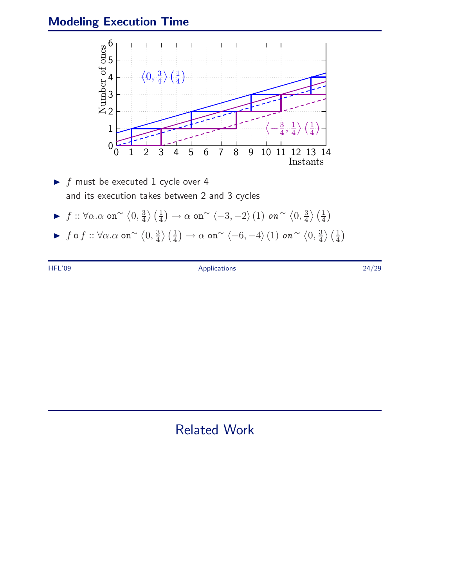### Modeling Execution Time



- $\blacktriangleright$  f must be executed 1 cycle over 4 and its execution takes between 2 and 3 cycles
- $\blacktriangleright$  f :: ∀α.α on<sup>∼</sup>  $\langle 0, \frac{3}{4} \rangle$  $\left(\frac{3}{4}\right)\left(\frac{1}{4}\right)\rightarrow \alpha$  on $^\sim \left\langle -3,-2 \right\rangle(1)$  on  $^\sim \left\langle 0,\frac{3}{4}\right\rangle$  $\frac{3}{4}\rangle \left(\frac{1}{4}\right)$
- ► f o f ::  $\forall \alpha . \alpha$  on $\sim \langle 0, \frac{3}{4} \rangle$  $\left(\frac{3}{4}\right)\left(\frac{1}{4}\right)\rightarrow \alpha$  on $^\sim \left\langle -6,-4 \right\rangle(1)$  on  $^\sim \left\langle 0,\frac{3}{4}\right\rangle$  $\frac{3}{4}\rangle \left(\frac{1}{4}\right)$

HFL'09 Applications 24/29

Related Work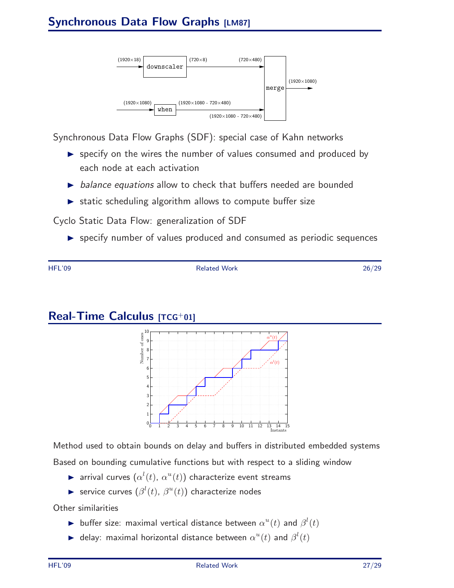

Synchronous Data Flow Graphs (SDF): special case of Kahn networks

- $\triangleright$  specify on the wires the number of values consumed and produced by each node at each activation
- $\triangleright$  balance equations allow to check that buffers needed are bounded
- $\triangleright$  static scheduling algorithm allows to compute buffer size

Cyclo Static Data Flow: generalization of SDF

specify number of values produced and consumed as periodic sequences

HFL'09 Related Work 26/29

### Real-Time Calculus [TCG+01]



Method used to obtain bounds on delay and buffers in distributed embedded systems Based on bounding cumulative functions but with respect to a sliding window

- $\blacktriangleright$  arrival curves  $(\alpha^l(t), \alpha^u(t))$  characterize event streams
- Service curves  $(\beta^l(t), \beta^u(t))$  characterize nodes

Other similarities

- buffer size: maximal vertical distance between  $\alpha^u(t)$  and  $\beta^l(t)$
- A delay: maximal horizontal distance between  $\alpha^u(t)$  and  $\beta^l(t)$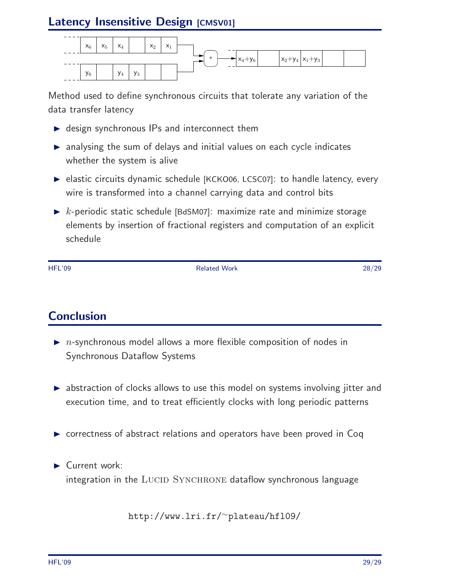### Latency Insensitive Design [CMSV01]



Method used to define synchronous circuits that tolerate any variation of the data transfer latency

- ▶ design synchronous IPs and interconnect them
- analysing the sum of delays and initial values on each cycle indicates whether the system is alive
- ▶ elastic circuits dynamic schedule [KCKO06, LCSC07]: to handle latency, every wire is transformed into a channel carrying data and control bits
- $\triangleright$  k-periodic static schedule [BdSM07]: maximize rate and minimize storage elements by insertion of fractional registers and computation of an explicit schedule

HFL'09 Related Work 28/29

### Conclusion

- $\triangleright$  *n*-synchronous model allows a more flexible composition of nodes in Synchronous Dataflow Systems
- ▶ abstraction of clocks allows to use this model on systems involving jitter and execution time, and to treat efficiently clocks with long periodic patterns
- ▶ correctness of abstract relations and operators have been proved in Coq
- Current work: integration in the LUCID SYNCHRONE dataflow synchronous language

http://www.lri.fr/<sup>∼</sup>plateau/hfl09/